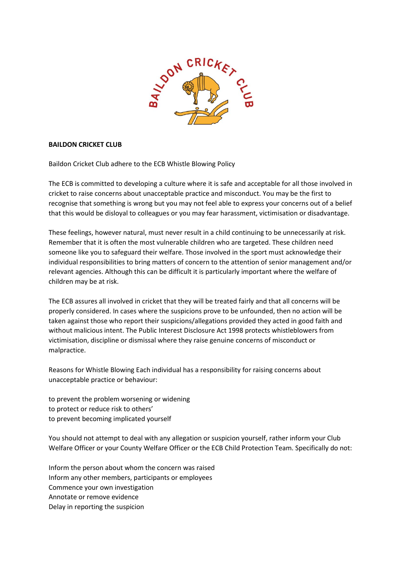

## **BAILDON CRICKET CLUB**

Baildon Cricket Club adhere to the ECB Whistle Blowing Policy

The ECB is committed to developing a culture where it is safe and acceptable for all those involved in cricket to raise concerns about unacceptable practice and misconduct. You may be the first to recognise that something is wrong but you may not feel able to express your concerns out of a belief that this would be disloyal to colleagues or you may fear harassment, victimisation or disadvantage.

These feelings, however natural, must never result in a child continuing to be unnecessarily at risk. Remember that it is often the most vulnerable children who are targeted. These children need someone like you to safeguard their welfare. Those involved in the sport must acknowledge their individual responsibilities to bring matters of concern to the attention of senior management and/or relevant agencies. Although this can be difficult it is particularly important where the welfare of children may be at risk.

The ECB assures all involved in cricket that they will be treated fairly and that all concerns will be properly considered. In cases where the suspicions prove to be unfounded, then no action will be taken against those who report their suspicions/allegations provided they acted in good faith and without malicious intent. The Public Interest Disclosure Act 1998 protects whistleblowers from victimisation, discipline or dismissal where they raise genuine concerns of misconduct or malpractice.

Reasons for Whistle Blowing Each individual has a responsibility for raising concerns about unacceptable practice or behaviour:

to prevent the problem worsening or widening to protect or reduce risk to others' to prevent becoming implicated yourself

You should not attempt to deal with any allegation or suspicion yourself, rather inform your Club Welfare Officer or your County Welfare Officer or the ECB Child Protection Team. Specifically do not:

Inform the person about whom the concern was raised Inform any other members, participants or employees Commence your own investigation Annotate or remove evidence Delay in reporting the suspicion